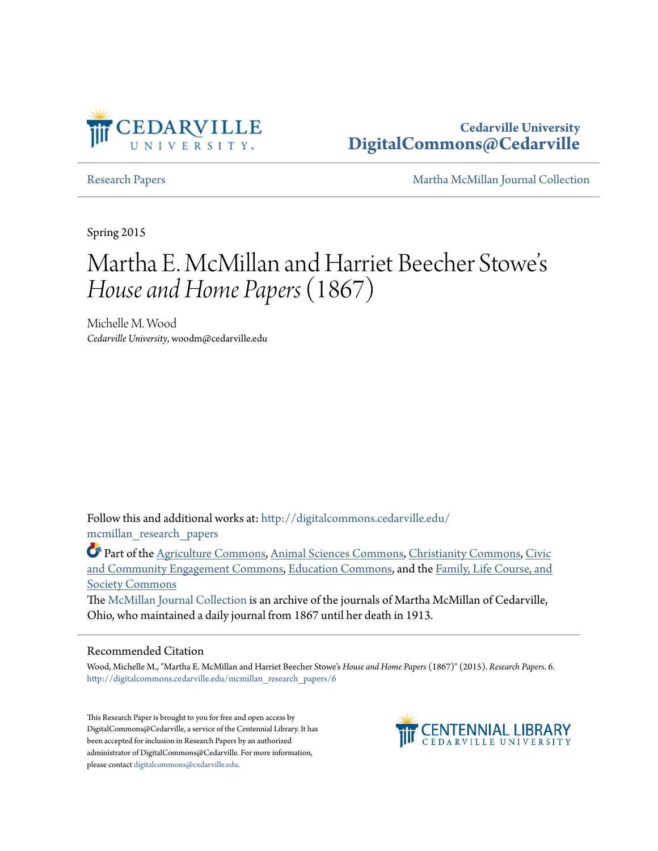

**Cedarville University [DigitalCommons@Cedarville](http://digitalcommons.cedarville.edu?utm_source=digitalcommons.cedarville.edu%2Fmcmillan_research_papers%2F6&utm_medium=PDF&utm_campaign=PDFCoverPages)**

[Research Papers](http://digitalcommons.cedarville.edu/mcmillan_research_papers?utm_source=digitalcommons.cedarville.edu%2Fmcmillan_research_papers%2F6&utm_medium=PDF&utm_campaign=PDFCoverPages) [Martha McMillan Journal Collection](http://digitalcommons.cedarville.edu/mcmillan_journal_collection?utm_source=digitalcommons.cedarville.edu%2Fmcmillan_research_papers%2F6&utm_medium=PDF&utm_campaign=PDFCoverPages)

Spring 2015

# Martha E. McMillan and Harriet Beecher Stowe s י<br>'' *House and Home Papers*(1867)

Michelle M. Wood *Cedarville University*, woodm@cedarville.edu

Follow this and additional works at: [http://digitalcommons.cedarville.edu/](http://digitalcommons.cedarville.edu/mcmillan_research_papers?utm_source=digitalcommons.cedarville.edu%2Fmcmillan_research_papers%2F6&utm_medium=PDF&utm_campaign=PDFCoverPages) [mcmillan\\_research\\_papers](http://digitalcommons.cedarville.edu/mcmillan_research_papers?utm_source=digitalcommons.cedarville.edu%2Fmcmillan_research_papers%2F6&utm_medium=PDF&utm_campaign=PDFCoverPages)

Part of the [Agriculture Commons](http://network.bepress.com/hgg/discipline/1076?utm_source=digitalcommons.cedarville.edu%2Fmcmillan_research_papers%2F6&utm_medium=PDF&utm_campaign=PDFCoverPages), [Animal Sciences Commons,](http://network.bepress.com/hgg/discipline/76?utm_source=digitalcommons.cedarville.edu%2Fmcmillan_research_papers%2F6&utm_medium=PDF&utm_campaign=PDFCoverPages) [Christianity Commons](http://network.bepress.com/hgg/discipline/1181?utm_source=digitalcommons.cedarville.edu%2Fmcmillan_research_papers%2F6&utm_medium=PDF&utm_campaign=PDFCoverPages), [Civic](http://network.bepress.com/hgg/discipline/1028?utm_source=digitalcommons.cedarville.edu%2Fmcmillan_research_papers%2F6&utm_medium=PDF&utm_campaign=PDFCoverPages) [and Community Engagement Commons,](http://network.bepress.com/hgg/discipline/1028?utm_source=digitalcommons.cedarville.edu%2Fmcmillan_research_papers%2F6&utm_medium=PDF&utm_campaign=PDFCoverPages) [Education Commons,](http://network.bepress.com/hgg/discipline/784?utm_source=digitalcommons.cedarville.edu%2Fmcmillan_research_papers%2F6&utm_medium=PDF&utm_campaign=PDFCoverPages) and the [Family, Life Course, and](http://network.bepress.com/hgg/discipline/419?utm_source=digitalcommons.cedarville.edu%2Fmcmillan_research_papers%2F6&utm_medium=PDF&utm_campaign=PDFCoverPages) [Society Commons](http://network.bepress.com/hgg/discipline/419?utm_source=digitalcommons.cedarville.edu%2Fmcmillan_research_papers%2F6&utm_medium=PDF&utm_campaign=PDFCoverPages)

The [McMillan Journal Collection](http://digitalcommons.cedarville.edu/mcmillan_journal_collection/) is an archive of the journals of Martha McMillan of Cedarville, Ohio, who maintained a daily journal from 1867 until her death in 1913.

#### Recommended Citation

Wood, Michelle M., "Martha E. McMillan and Harriet Beecher Stowe's *House and Home Papers* (1867)" (2015). *Research Papers*. 6. [http://digitalcommons.cedarville.edu/mcmillan\\_research\\_papers/6](http://digitalcommons.cedarville.edu/mcmillan_research_papers/6?utm_source=digitalcommons.cedarville.edu%2Fmcmillan_research_papers%2F6&utm_medium=PDF&utm_campaign=PDFCoverPages)

This Research Paper is brought to you for free and open access by DigitalCommons@Cedarville, a service of the Centennial Library. It has been accepted for inclusion in Research Papers by an authorized administrator of DigitalCommons@Cedarville. For more information, please contact [digitalcommons@cedarville.edu.](mailto:digitalcommons@cedarville.edu)

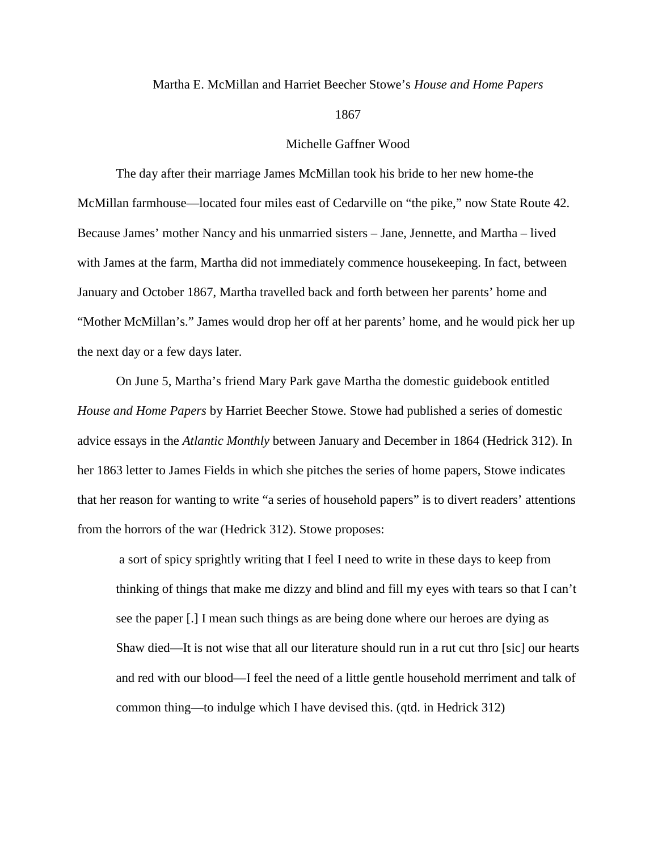#### Martha E. McMillan and Harriet Beecher Stowe's *House and Home Papers*

#### 1867

### Michelle Gaffner Wood

The day after their marriage James McMillan took his bride to her new home-the McMillan farmhouse—located four miles east of Cedarville on "the pike," now State Route 42. Because James' mother Nancy and his unmarried sisters – Jane, Jennette, and Martha – lived with James at the farm, Martha did not immediately commence housekeeping. In fact, between January and October 1867, Martha travelled back and forth between her parents' home and "Mother McMillan's." James would drop her off at her parents' home, and he would pick her up the next day or a few days later.

On June 5, Martha's friend Mary Park gave Martha the domestic guidebook entitled *House and Home Papers* by Harriet Beecher Stowe. Stowe had published a series of domestic advice essays in the *Atlantic Monthly* between January and December in 1864 (Hedrick 312). In her 1863 letter to James Fields in which she pitches the series of home papers, Stowe indicates that her reason for wanting to write "a series of household papers" is to divert readers' attentions from the horrors of the war (Hedrick 312). Stowe proposes:

a sort of spicy sprightly writing that I feel I need to write in these days to keep from thinking of things that make me dizzy and blind and fill my eyes with tears so that I can't see the paper [.] I mean such things as are being done where our heroes are dying as Shaw died—It is not wise that all our literature should run in a rut cut thro [sic] our hearts and red with our blood—I feel the need of a little gentle household merriment and talk of common thing—to indulge which I have devised this. (qtd. in Hedrick 312)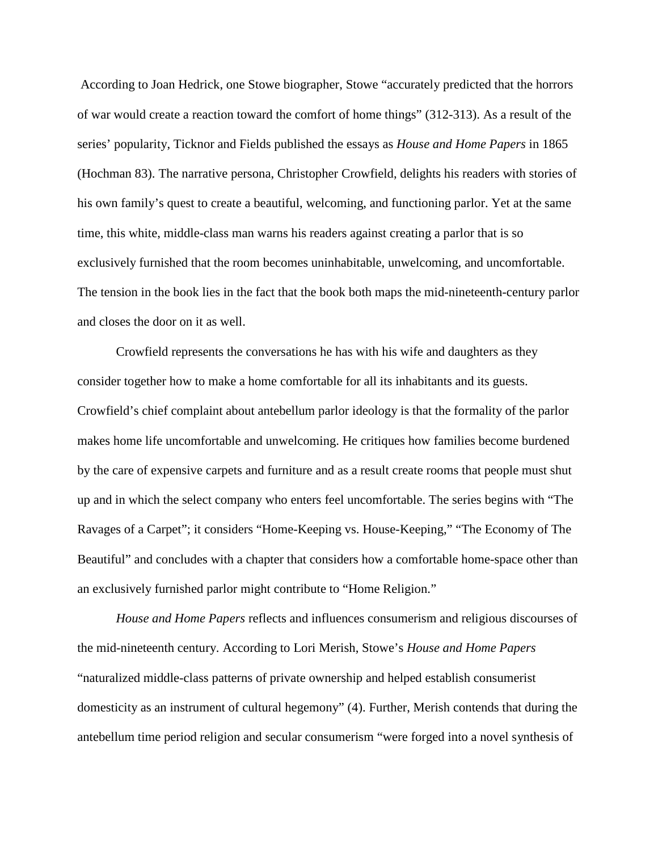According to Joan Hedrick, one Stowe biographer, Stowe "accurately predicted that the horrors of war would create a reaction toward the comfort of home things" (312-313). As a result of the series' popularity, Ticknor and Fields published the essays as *House and Home Papers* in 1865 (Hochman 83). The narrative persona, Christopher Crowfield, delights his readers with stories of his own family's quest to create a beautiful, welcoming, and functioning parlor. Yet at the same time, this white, middle-class man warns his readers against creating a parlor that is so exclusively furnished that the room becomes uninhabitable, unwelcoming, and uncomfortable. The tension in the book lies in the fact that the book both maps the mid-nineteenth-century parlor and closes the door on it as well.

Crowfield represents the conversations he has with his wife and daughters as they consider together how to make a home comfortable for all its inhabitants and its guests. Crowfield's chief complaint about antebellum parlor ideology is that the formality of the parlor makes home life uncomfortable and unwelcoming. He critiques how families become burdened by the care of expensive carpets and furniture and as a result create rooms that people must shut up and in which the select company who enters feel uncomfortable. The series begins with "The Ravages of a Carpet"; it considers "Home-Keeping vs. House-Keeping," "The Economy of The Beautiful" and concludes with a chapter that considers how a comfortable home-space other than an exclusively furnished parlor might contribute to "Home Religion."

*House and Home Papers* reflects and influences consumerism and religious discourses of the mid-nineteenth century. According to Lori Merish, Stowe's *House and Home Papers*  "naturalized middle-class patterns of private ownership and helped establish consumerist domesticity as an instrument of cultural hegemony" (4). Further, Merish contends that during the antebellum time period religion and secular consumerism "were forged into a novel synthesis of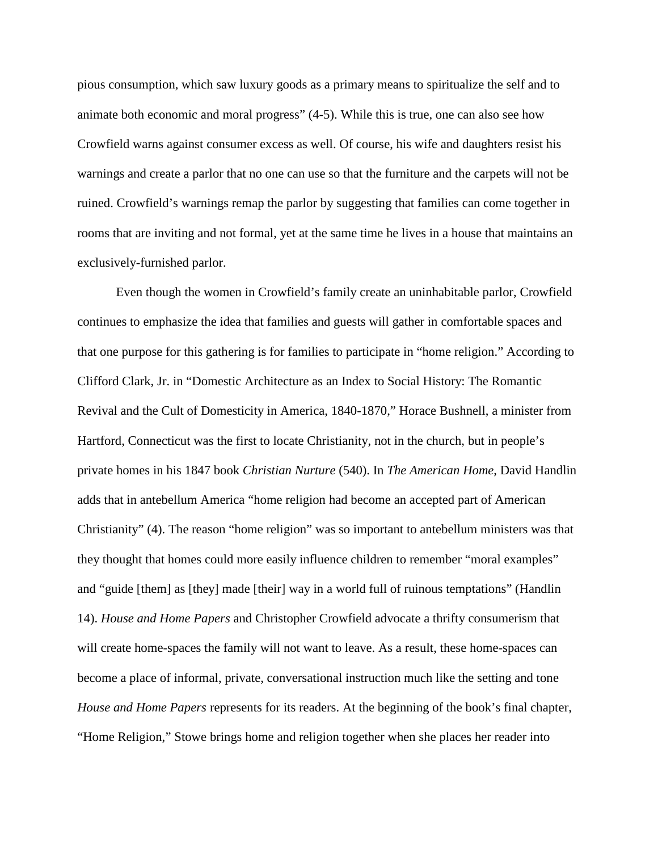pious consumption, which saw luxury goods as a primary means to spiritualize the self and to animate both economic and moral progress" (4-5). While this is true, one can also see how Crowfield warns against consumer excess as well. Of course, his wife and daughters resist his warnings and create a parlor that no one can use so that the furniture and the carpets will not be ruined. Crowfield's warnings remap the parlor by suggesting that families can come together in rooms that are inviting and not formal, yet at the same time he lives in a house that maintains an exclusively-furnished parlor.

Even though the women in Crowfield's family create an uninhabitable parlor, Crowfield continues to emphasize the idea that families and guests will gather in comfortable spaces and that one purpose for this gathering is for families to participate in "home religion." According to Clifford Clark, Jr. in "Domestic Architecture as an Index to Social History: The Romantic Revival and the Cult of Domesticity in America, 1840-1870," Horace Bushnell, a minister from Hartford, Connecticut was the first to locate Christianity, not in the church, but in people's private homes in his 1847 book *Christian Nurture* (540). In *The American Home*, David Handlin adds that in antebellum America "home religion had become an accepted part of American Christianity" (4). The reason "home religion" was so important to antebellum ministers was that they thought that homes could more easily influence children to remember "moral examples" and "guide [them] as [they] made [their] way in a world full of ruinous temptations" (Handlin 14). *House and Home Papers* and Christopher Crowfield advocate a thrifty consumerism that will create home-spaces the family will not want to leave. As a result, these home-spaces can become a place of informal, private, conversational instruction much like the setting and tone *House and Home Papers* represents for its readers. At the beginning of the book's final chapter, "Home Religion," Stowe brings home and religion together when she places her reader into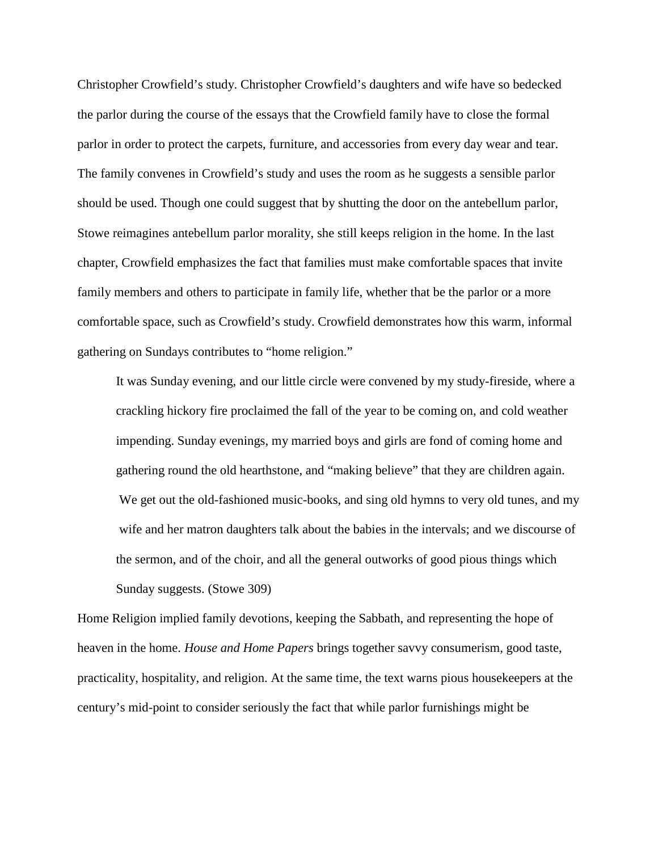Christopher Crowfield's study. Christopher Crowfield's daughters and wife have so bedecked the parlor during the course of the essays that the Crowfield family have to close the formal parlor in order to protect the carpets, furniture, and accessories from every day wear and tear. The family convenes in Crowfield's study and uses the room as he suggests a sensible parlor should be used. Though one could suggest that by shutting the door on the antebellum parlor, Stowe reimagines antebellum parlor morality, she still keeps religion in the home. In the last chapter, Crowfield emphasizes the fact that families must make comfortable spaces that invite family members and others to participate in family life, whether that be the parlor or a more comfortable space, such as Crowfield's study. Crowfield demonstrates how this warm, informal gathering on Sundays contributes to "home religion."

It was Sunday evening, and our little circle were convened by my study-fireside, where a crackling hickory fire proclaimed the fall of the year to be coming on, and cold weather impending. Sunday evenings, my married boys and girls are fond of coming home and gathering round the old hearthstone, and "making believe" that they are children again. We get out the old-fashioned music-books, and sing old hymns to very old tunes, and my wife and her matron daughters talk about the babies in the intervals; and we discourse of the sermon, and of the choir, and all the general outworks of good pious things which Sunday suggests. (Stowe 309)

Home Religion implied family devotions, keeping the Sabbath, and representing the hope of heaven in the home. *House and Home Papers* brings together savvy consumerism, good taste, practicality, hospitality, and religion. At the same time, the text warns pious housekeepers at the century's mid-point to consider seriously the fact that while parlor furnishings might be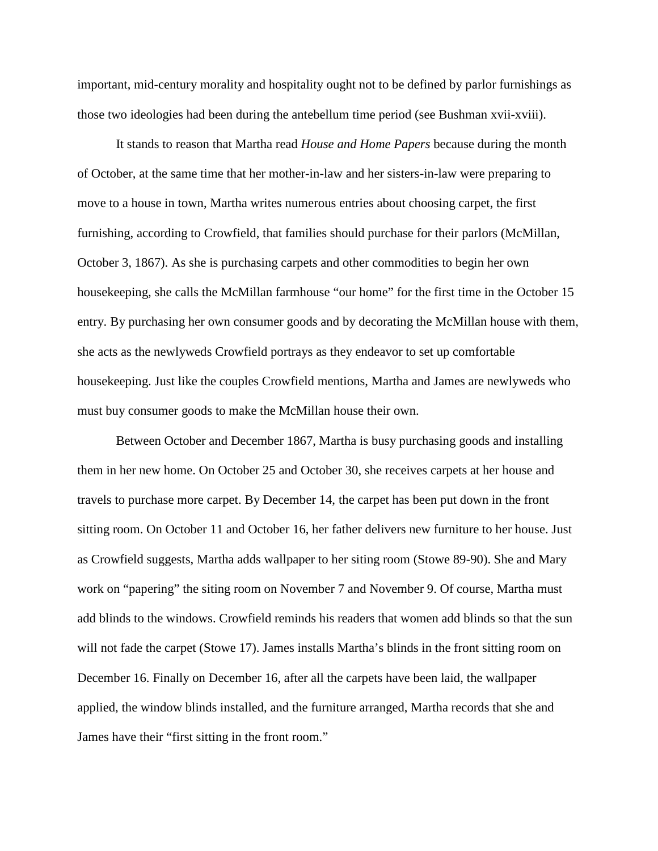important, mid-century morality and hospitality ought not to be defined by parlor furnishings as those two ideologies had been during the antebellum time period (see Bushman xvii-xviii).

It stands to reason that Martha read *House and Home Papers* because during the month of October, at the same time that her mother-in-law and her sisters-in-law were preparing to move to a house in town, Martha writes numerous entries about choosing carpet, the first furnishing, according to Crowfield, that families should purchase for their parlors (McMillan, October 3, 1867). As she is purchasing carpets and other commodities to begin her own housekeeping, she calls the McMillan farmhouse "our home" for the first time in the October 15 entry. By purchasing her own consumer goods and by decorating the McMillan house with them, she acts as the newlyweds Crowfield portrays as they endeavor to set up comfortable housekeeping. Just like the couples Crowfield mentions, Martha and James are newlyweds who must buy consumer goods to make the McMillan house their own.

Between October and December 1867, Martha is busy purchasing goods and installing them in her new home. On October 25 and October 30, she receives carpets at her house and travels to purchase more carpet. By December 14, the carpet has been put down in the front sitting room. On October 11 and October 16, her father delivers new furniture to her house. Just as Crowfield suggests, Martha adds wallpaper to her siting room (Stowe 89-90). She and Mary work on "papering" the siting room on November 7 and November 9. Of course, Martha must add blinds to the windows. Crowfield reminds his readers that women add blinds so that the sun will not fade the carpet (Stowe 17). James installs Martha's blinds in the front sitting room on December 16. Finally on December 16, after all the carpets have been laid, the wallpaper applied, the window blinds installed, and the furniture arranged, Martha records that she and James have their "first sitting in the front room."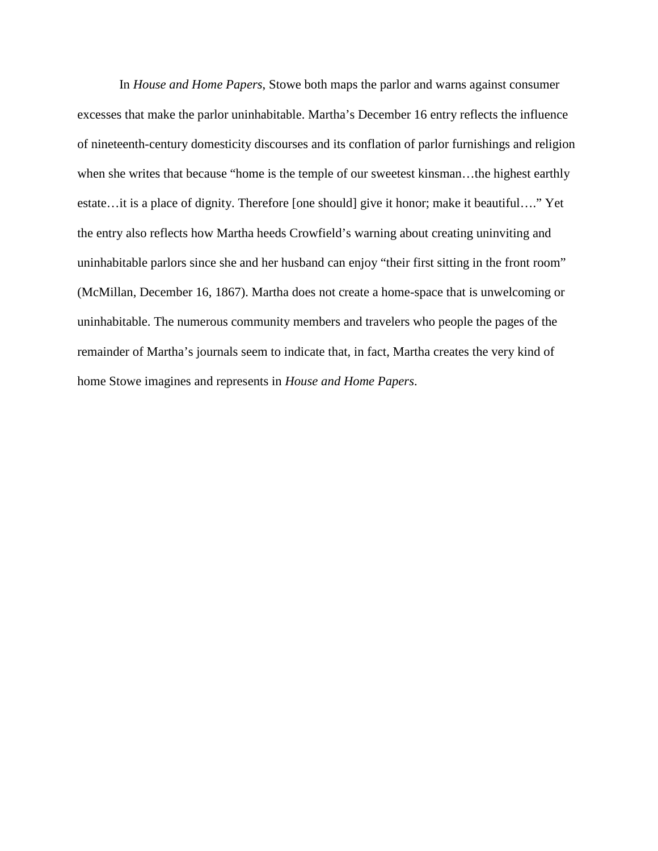In *House and Home Papers*, Stowe both maps the parlor and warns against consumer excesses that make the parlor uninhabitable. Martha's December 16 entry reflects the influence of nineteenth-century domesticity discourses and its conflation of parlor furnishings and religion when she writes that because "home is the temple of our sweetest kinsman…the highest earthly estate…it is a place of dignity. Therefore [one should] give it honor; make it beautiful…." Yet the entry also reflects how Martha heeds Crowfield's warning about creating uninviting and uninhabitable parlors since she and her husband can enjoy "their first sitting in the front room" (McMillan, December 16, 1867). Martha does not create a home-space that is unwelcoming or uninhabitable. The numerous community members and travelers who people the pages of the remainder of Martha's journals seem to indicate that, in fact, Martha creates the very kind of home Stowe imagines and represents in *House and Home Papers*.